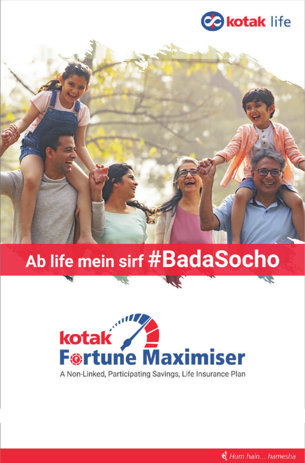

# Ab life mein sirf #BadaSocho

**SERVICE** 



A Non-Linked, Participating Savings, Life Insurance Plan

& Hum hain... hamesha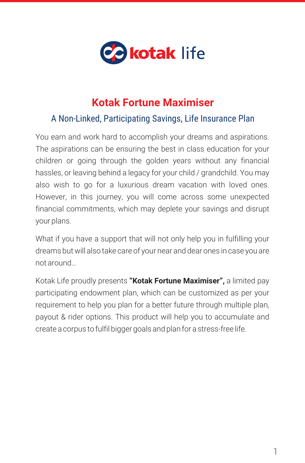

# **Kotak Fortune Maximiser**

## A Non-Linked, Participating Savings, Life Insurance Plan

You earn and work hard to accomplish your dreams and aspirations. The aspirations can be ensuring the best in class education for your children or going through the golden years without any financial hassles, or leaving behind a legacy for your child / grandchild. You may also wish to go for a luxurious dream vacation with loved ones. However, in this journey, you will come across some unexpected financial commitments, which may deplete your savings and disrupt your plans.

What if you have a support that will not only help you in fulfilling your dreams but will also take care of your near and dear ones in case you are not around…

Kotak Life proudly presents **"Kotak Fortune Maximiser",** a limited pay participating endowment plan, which can be customized as per your requirement to help you plan for a better future through multiple plan, payout & rider options. This product will help you to accumulate and create a corpus to fulfil bigger goals and plan for a stress-free life.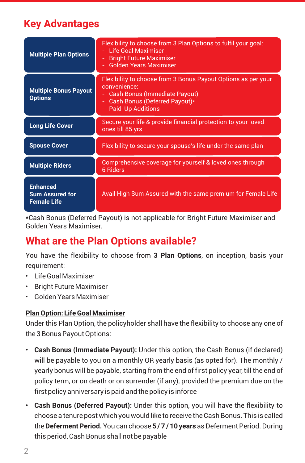# **Key Advantages**

| <b>Multiple Plan Options</b>                                    | Flexibility to choose from 3 Plan Options to fulfil your goal:<br>- Life Goal Maximiser<br>- Bright Future Maximiser<br>- Golden Years Maximiser                                   |  |
|-----------------------------------------------------------------|------------------------------------------------------------------------------------------------------------------------------------------------------------------------------------|--|
| <b>Multiple Bonus Payout</b><br><b>Options</b>                  | Flexibility to choose from 3 Bonus Payout Options as per your<br>convenience:<br><b>Cash Bonus (Immediate Payout)</b><br>Cash Bonus (Deferred Payout)*<br><b>Paid-Up Additions</b> |  |
| <b>Long Life Cover</b>                                          | Secure your life & provide financial protection to your loved<br>ones till 85 yrs                                                                                                  |  |
| <b>Spouse Cover</b>                                             | Flexibility to secure your spouse's life under the same plan                                                                                                                       |  |
| <b>Multiple Riders</b>                                          | Comprehensive coverage for yourself & loved ones through<br>6 Riders                                                                                                               |  |
| <b>Enhanced</b><br><b>Sum Assured for</b><br><b>Female Life</b> | Avail High Sum Assured with the same premium for Female Life                                                                                                                       |  |

\*Cash Bonus (Deferred Payout) is not applicable for Bright Future Maximiser and Golden Years Maximiser.

# **What are the Plan Options available?**

You have the flexibility to choose from **3 Plan Options**, on inception, basis your requirement:

- Life Goal Maximiser
- Bright Future Maximiser
- Golden Years Maximiser

#### **Plan Option: Life Goal Maximiser**

Under this Plan Option, the policyholder shall have the flexibility to choose any one of the 3 Bonus Payout Options:

- **• Cash Bonus (Immediate Payout):** Under this option, the Cash Bonus (if declared) will be payable to you on a monthly OR yearly basis (as opted for). The monthly / yearly bonus will be payable, starting from the end of first policy year, till the end of policy term, or on death or on surrender (if any), provided the premium due on the first policy anniversary is paid and the policy is inforce
- **• Cash Bonus (Deferred Payout):** Under this option, you will have the flexibility to choose a tenure post which you would like to receive the Cash Bonus. This is called the **Deferment Period.**You can choose **5 / 7 / 10 years** as Deferment Period. During this period, Cash Bonus shall not be payable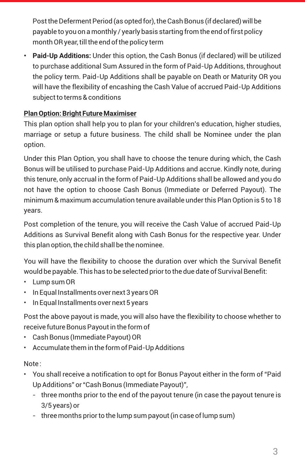Post the Deferment Period (as opted for), the Cash Bonus (if declared) will be payable to you on a monthly / yearly basis starting from the end of first policy month OR year, till the end of the policy term

**• Paid-Up Additions:** Under this option, the Cash Bonus (if declared) will be utilized to purchase additional Sum Assured in the form of Paid-Up Additions, throughout the policy term. Paid-Up Additions shall be payable on Death or Maturity OR you will have the flexibility of encashing the Cash Value of accrued Paid-Up Additions subject to terms & conditions

#### **Plan Option: Bright Future Maximiser**

This plan option shall help you to plan for your children's education, higher studies, marriage or setup a future business. The child shall be Nominee under the plan option.

Under this Plan Option, you shall have to choose the tenure during which, the Cash Bonus will be utilised to purchase Paid-Up Additions and accrue. Kindly note, during this tenure, only accrual in the form of Paid-Up Additions shall be allowed and you do not have the option to choose Cash Bonus (Immediate or Deferred Payout). The minimum & maximum accumulation tenure available under this Plan Option is 5 to 18 years.

Post completion of the tenure, you will receive the Cash Value of accrued Paid-Up Additions as Survival Benefit along with Cash Bonus for the respective year. Under this plan option, the child shall be the nominee.

You will have the flexibility to choose the duration over which the Survival Benefit would be payable. This has to be selected prior to the due date of Survival Benefit:

- Lump sum OR
- In Equal Installments over next 3 years OR
- In Equal Installments over next 5 years

Post the above payout is made, you will also have the flexibility to choose whether to receive future Bonus Payout in the form of

- Cash Bonus (Immediate Payout) OR
- Accumulate them in the form of Paid-Up Additions

## Note :

- You shall receive a notification to opt for Bonus Payout either in the form of "Paid Up Additions" or "Cash Bonus (Immediate Payout)",
	- three months prior to the end of the payout tenure (in case the payout tenure is 3/5 years) or
	- three months prior to the lump sum payout (in case of lump sum)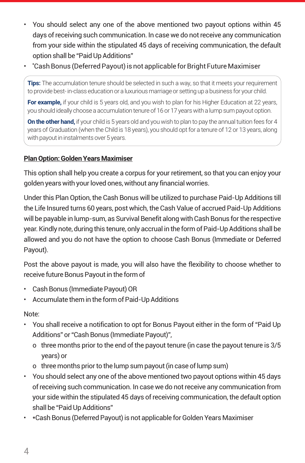- You should select any one of the above mentioned two payout options within 45 days of receiving such communication. In case we do not receive any communication from your side within the stipulated 45 days of receiving communication, the default option shall be "Paid Up Additions"
- Cash Bonus (Deferred Payout) is not applicable for Bright Future Maximiser \*\*

**Tips:** The accumulation tenure should be selected in such a way, so that it meets your requirement to provide best- in-class education or a luxurious marriage or setting up a business for your child.

**For example,** if your child is 5 years old, and you wish to plan for his Higher Education at 22 years, you should ideally choose a accumulation tenure of 16 or 17 years with a lump sum payout option.

**On the other hand,** if your child is 5 years old and you wish to plan to pay the annual tuition fees for 4 years of Graduation (when the Child is 18 years), you should opt for a tenure of 12 or 13 years, along with payout in instalments over 5 years.

#### **Plan Option: Golden Years Maximiser**

This option shall help you create a corpus for your retirement, so that you can enjoy your golden years with your loved ones, without any financial worries.

Under this Plan Option, the Cash Bonus will be utilized to purchase Paid-Up Additions till the Life Insured turns 60 years, post which, the Cash Value of accrued Paid-Up Additions will be payable in lump-sum, as Survival Benefit along with Cash Bonus for the respective year. Kindly note, during this tenure, only accrual in the form of Paid-Up Additions shall be allowed and you do not have the option to choose Cash Bonus (Immediate or Deferred Payout).

Post the above payout is made, you will also have the flexibility to choose whether to receive future Bonus Payout in the form of

- Cash Bonus (Immediate Payout) OR
- Accumulate them in the form of Paid-Up Additions

Note:

- You shall receive a notification to opt for Bonus Payout either in the form of "Paid Up Additions" or "Cash Bonus (Immediate Payout)",
	- o three months prior to the end of the payout tenure (in case the payout tenure is 3/5 years) or
	- o three months prior to the lump sum payout (in case of lump sum)
- You should select any one of the above mentioned two payout options within 45 days of receiving such communication. In case we do not receive any communication from your side within the stipulated 45 days of receiving communication, the default option shall be "Paid Up Additions"
- \*Cash Bonus (Deferred Payout) is not applicable for Golden Years Maximiser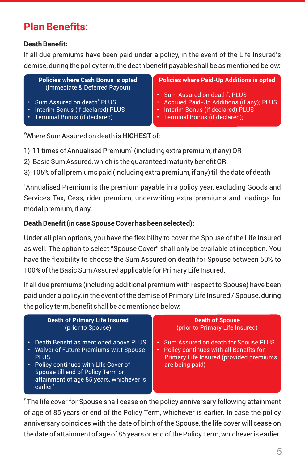# **Plan Benefits:**

#### **Death Benefit:**

If all due premiums have been paid under a policy, in the event of the Life Insured's demise, during the policy term, the death benefit payable shall be as mentioned below:

**Policies where Cash Bonus is opted** (Immediate & Deferred Payout)

- Sum Assured on death $^*$  PLUS
- Interim Bonus (if declared) PLUS
- Terminal Bonus (if declared)

#### **Policies where Paid-Up Additions is opted**

- Sum Assured on death $\overline{\phantom{a}}$ ; PLUS
- Accrued Paid-Up Additions (if any); PLUS
- Interim Bonus (if declared) PLUS
- Terminal Bonus (if declared);

#Where Sum Assured on death is **HIGHEST** of:

- 1 1) 11 times of Annualised Premium (including extra premium, if any) OR
- 2) Basic Sum Assured, which is the guaranteed maturity benefit OR
- 3) 105% of all premiums paid (including extra premium, if any) till the date of death

 $^{\rm !}$ Annualised Premium is the premium payable in a policy year, excluding Goods and Services Tax, Cess, rider premium, underwriting extra premiums and loadings for modal premium, if any.

#### **Death Benefit (in case Spouse Cover has been selected):**

Under all plan options, you have the flexibility to cover the Spouse of the Life Insured as well. The option to select "Spouse Cover" shall only be available at inception. You have the flexibility to choose the Sum Assured on death for Spouse between 50% to 100% of the Basic Sum Assured applicable for Primary Life Insured.

If all due premiums (including additional premium with respect to Spouse) have been paid under a policy, in the event of the demise of Primary Life Insured / Spouse, during the policy term, benefit shall be as mentioned below:

| Death Benefit as mentioned above PLUS                                                                                                                                                                   |                                                                                                                                                   |
|---------------------------------------------------------------------------------------------------------------------------------------------------------------------------------------------------------|---------------------------------------------------------------------------------------------------------------------------------------------------|
| • Waiver of Future Premiums w.r.t Spouse<br><b>PLUS</b><br>Policy continues with Life Cover of<br>Spouse till end of Policy Term or<br>attainment of age 85 years, whichever is<br>earlier <sup>#</sup> | Sum Assured on death for Spouse PLUS<br>Policy continues with all Benefits for<br>٠<br>Primary Life Insured (provided premiums<br>are being paid) |

The life cover for Spouse shall cease on the policy anniversary following attainment of age of 85 years or end of the Policy Term, whichever is earlier. In case the policy anniversary coincides with the date of birth of the Spouse, the life cover will cease on the date of attainment of age of 85 years or end of the Policy Term, whichever is earlier.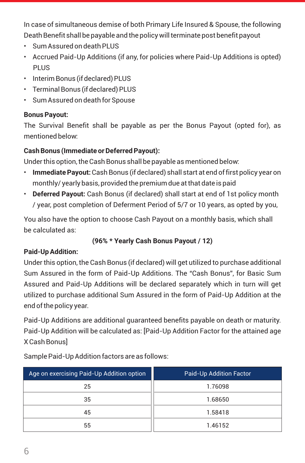In case of simultaneous demise of both Primary Life Insured & Spouse, the following Death Benefit shall be payable and the policy will terminate post benefit payout

- Sum Assured on death PLUS
- Accrued Paid-Up Additions (if any, for policies where Paid-Up Additions is opted) PLUS
- Interim Bonus (if declared) PLUS
- Terminal Bonus (if declared) PLUS
- Sum Assured on death for Spouse

## **Bonus Payout:**

The Survival Benefit shall be payable as per the Bonus Payout (opted for), as mentioned below:

## **Cash Bonus (Immediate or Deferred Payout):**

Under this option, the Cash Bonus shall be payable as mentioned below:

- **Immediate Payout:** Cash Bonus (if declared) shall start at end of first policy year on monthly/ yearly basis, provided the premium due at that date is paid
- **Deferred Payout:** Cash Bonus (if declared) shall start at end of 1st policy month / year, post completion of Deferment Period of 5/7 or 10 years, as opted by you,

You also have the option to choose Cash Payout on a monthly basis, which shall be calculated as:

## **(96% \* Yearly Cash Bonus Payout / 12)**

## **Paid-Up Addition:**

Under this option, the Cash Bonus (if declared) will get utilized to purchase additional Sum Assured in the form of Paid-Up Additions. The "Cash Bonus", for Basic Sum Assured and Paid-Up Additions will be declared separately which in turn will get utilized to purchase additional Sum Assured in the form of Paid-Up Addition at the end of the policy year.

Paid-Up Additions are additional guaranteed benefits payable on death or maturity. Paid-Up Addition will be calculated as: [Paid-Up Addition Factor for the attained age X Cash Bonus]

| Age on exercising Paid-Up Addition option | <b>Paid-Up Addition Factor</b> |
|-------------------------------------------|--------------------------------|
| 25                                        | 1.76098                        |
| 35                                        | 1.68650                        |
| 45                                        | 1.58418                        |
| 55                                        | 1.46152                        |

Sample Paid-Up Addition factors are as follows: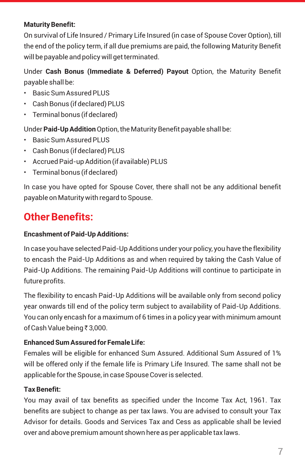#### **Maturity Benefit:**

On survival of Life Insured / Primary Life Insured (in case of Spouse Cover Option), till the end of the policy term, if all due premiums are paid, the following Maturity Benefit will be payable and policy will get terminated.

Under **Cash Bonus (Immediate & Deferred) Payout** Option, the Maturity Benefit payable shall be:

- Basic Sum Assured PLUS
- Cash Bonus (if declared) PLUS
- Terminal bonus (if declared)

Under **Paid-Up Addition** Option, the Maturity Benefit payable shall be:

- Basic Sum Assured PLUS
- Cash Bonus (if declared) PLUS
- Accrued Paid-up Addition (if available) PLUS
- Terminal bonus (if declared)

In case you have opted for Spouse Cover, there shall not be any additional benefit payable on Maturity with regard to Spouse.

# **Other Benefits:**

#### **Encashment of Paid-Up Additions:**

In case you have selected Paid-Up Additions under your policy, you have the flexibility to encash the Paid-Up Additions as and when required by taking the Cash Value of Paid-Up Additions. The remaining Paid-Up Additions will continue to participate in future profits.

The flexibility to encash Paid-Up Additions will be available only from second policy year onwards till end of the policy term subject to availability of Paid-Up Additions. You can only encash for a maximum of 6 times in a policy year with minimum amount of Cash Value being ₹ 3,000.

#### **Enhanced Sum Assured for Female Life:**

Females will be eligible for enhanced Sum Assured. Additional Sum Assured of 1% will be offered only if the female life is Primary Life Insured. The same shall not be applicable for the Spouse, in case Spouse Cover is selected.

#### **Tax Benefit:**

You may avail of tax benefits as specified under the Income Tax Act, 1961. Tax benefits are subject to change as per tax laws. You are advised to consult your Tax Advisor for details. Goods and Services Tax and Cess as applicable shall be levied over and above premium amount shown here as per applicable tax laws.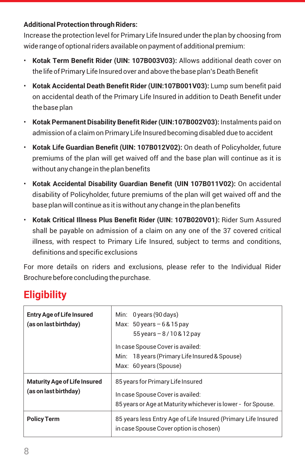#### **Additional Protection through Riders:**

Increase the protection level for Primary Life Insured under the plan by choosing from wide range of optional riders available on payment of additional premium:

- **Kotak Term Benefit Rider (UIN: 107B003V03):** Allows additional death cover on the life of Primary Life Insured over and above the base plan's Death Benefit
- **Kotak Accidental Death Benefit Rider (UIN:107B001V03):** Lump sum benefit paid on accidental death of the Primary Life Insured in addition to Death Benefit under the base plan
- **Kotak Permanent Disability Benefit Rider (UIN:107B002V03):** Instalments paid on admission of a claim on Primary Life Insured becoming disabled due to accident
- **Kotak Life Guardian Benefit (UIN: 107B012V02):** On death of Policyholder, future premiums of the plan will get waived off and the base plan will continue as it is without any change in the plan benefits
- **Kotak Accidental Disability Guardian Benefit (UIN 107B011V02):** On accidental disability of Policyholder, future premiums of the plan will get waived off and the base plan will continue as it is without any change in the plan benefits
- **Kotak Critical Illness Plus Benefit Rider (UIN: 107B020V01):** Rider Sum Assured shall be payable on admission of a claim on any one of the 37 covered critical illness, with respect to Primary Life Insured, subject to terms and conditions, definitions and specific exclusions

For more details on riders and exclusions, please refer to the Individual Rider Brochure before concluding the purchase.

# **Eligibility**

| <b>Entry Age of Life Insured</b><br>(as on last birthday)    | Min: $0$ years (90 days)<br>Max: $50$ years $-6$ & 15 pay<br>$55 \,\text{years} - 8 / 10 \,\text{&} 12 \,\text{pay}$<br>In case Spouse Cover is availed:<br>Min: 18 years (Primary Life Insured & Spouse)<br>Max: 60 years (Spouse) |  |  |
|--------------------------------------------------------------|-------------------------------------------------------------------------------------------------------------------------------------------------------------------------------------------------------------------------------------|--|--|
| <b>Maturity Age of Life Insured</b><br>(as on last birthday) | 85 years for Primary Life Insured<br>In case Spouse Cover is availed:<br>85 years or Age at Maturity whichever is lower - for Spouse.                                                                                               |  |  |
| <b>Policy Term</b>                                           | 85 years less Entry Age of Life Insured (Primary Life Insured<br>in case Spouse Cover option is chosen)                                                                                                                             |  |  |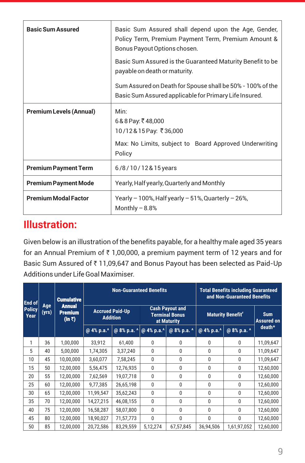| <b>Basic Sum Assured</b>       | Basic Sum Assured shall depend upon the Age, Gender,<br>Policy Term, Premium Payment Term, Premium Amount &<br>Bonus Payout Options chosen. |  |  |
|--------------------------------|---------------------------------------------------------------------------------------------------------------------------------------------|--|--|
|                                | Basic Sum Assured is the Guaranteed Maturity Benefit to be<br>payable on death or maturity.                                                 |  |  |
|                                | Sum Assured on Death for Spouse shall be 50% - 100% of the<br>Basic Sum Assured applicable for Primary Life Insured.                        |  |  |
| <b>Premium Levels (Annual)</b> | Min:<br>$6&8$ Pay: ₹48,000<br>10/12&15 Pay: ₹36,000                                                                                         |  |  |
|                                | Max: No Limits, subject to Board Approved Underwriting<br>Policy                                                                            |  |  |
| <b>Premium Payment Term</b>    | 6/8/10/12&15years                                                                                                                           |  |  |
| <b>Premium Payment Mode</b>    | Yearly, Half yearly, Quarterly and Monthly                                                                                                  |  |  |
| <b>Premium Modal Factor</b>    | Yearly $-100\%$ , Half yearly $-51\%$ , Quarterly $-26\%$ ,<br>Monthly $-8.8%$                                                              |  |  |

## **Illustration:**

Given below is an illustration of the benefits payable, for a healthy male aged 35 years for an Annual Premium of  $\bar{\tau}$  1,00,000, a premium payment term of 12 years and for Basic Sum Assured of ₹11,09,647 and Bonus Payout has been selected as Paid-Up Additions under Life Goal Maximiser.

| <b>Cumulative</b><br>End of |                     | <b>Non-Guaranteed Benefits</b>            |                                           |                |                                                                | <b>Total Benefits including Guaranteed</b><br>and Non-Guaranteed Benefits |                          |              |                                 |
|-----------------------------|---------------------|-------------------------------------------|-------------------------------------------|----------------|----------------------------------------------------------------|---------------------------------------------------------------------------|--------------------------|--------------|---------------------------------|
| <b>Policy</b><br>Year       | <b>Age</b><br>(yrs) | <b>Annual</b><br><b>Premium</b><br>(in 7) | <b>Accrued Paid-Up</b><br><b>Addition</b> |                | <b>Cash Payout and</b><br><b>Terminal Bonus</b><br>at Maturity |                                                                           | <b>Maturity Benefit*</b> |              | <b>Sum</b><br><b>Assured on</b> |
|                             |                     |                                           | @ 4% p.a.^                                | @ $8\%$ p.a. ^ | @ 4% p.a.^                                                     | @ 8% p.a. ^                                                               | @ 4% p.a.^               | @ 8% p.a. ^  | death*                          |
| 1                           | 36                  | 1,00,000                                  | 33,912                                    | 61,400         | 0                                                              | 0                                                                         | $\mathbf{0}$             | $\mathbf{0}$ | 11,09,647                       |
| 5                           | 40                  | 5,00,000                                  | 1,74,305                                  | 3,37,240       | 0                                                              | 0                                                                         | $\mathbf{0}$             | $\mathbf{0}$ | 11,09,647                       |
| 10                          | 45                  | 10,00,000                                 | 3,60,077                                  | 7,58,245       | 0                                                              | $\mathbf{0}$                                                              | $\mathbf{0}$             | 0            | 11,09,647                       |
| 15                          | 50                  | 12,00,000                                 | 5,56,475                                  | 12,76,935      | 0                                                              | 0                                                                         | $\Omega$                 | 0            | 12,60,000                       |
| 20                          | 55                  | 12,00,000                                 | 7,62,569                                  | 19,07,718      | $\mathbf{0}$                                                   | 0                                                                         | $\Omega$                 | 0            | 12,60,000                       |
| 25                          | 60                  | 12,00,000                                 | 9,77,385                                  | 26,65,198      | $\mathbf{0}$                                                   | 0                                                                         | $\mathbf{0}$             | $\mathbf{0}$ | 12,60,000                       |
| 30                          | 65                  | 12,00,000                                 | 11,99,547                                 | 35,62,243      | $\mathbf{0}$                                                   | $\mathbf{0}$                                                              | $\mathbf{0}$             | $\mathbf{0}$ | 12,60,000                       |
| 35                          | 70                  | 12,00,000                                 | 14,27,215                                 | 46,08,155      | 0                                                              | $\mathbf{0}$                                                              | $\mathbf{0}$             | 0            | 12,60,000                       |
| 40                          | 75                  | 12,00,000                                 | 16,58,287                                 | 58,07,800      | 0                                                              | $\mathbf{0}$                                                              | $\mathbf{0}$             | 0            | 12,60,000                       |
| 45                          | 80                  | 12,00,000                                 | 18,90,027                                 | 71,57,773      | $\mathbf{0}$                                                   | $\mathbf{0}$                                                              | $\Omega$                 | $\mathbf{0}$ | 12,60,000                       |
| 50                          | 85                  | 12,00,000                                 | 20,72,586                                 | 83,29,559      | 5,12,274                                                       | 67,57,845                                                                 | 36,94,506                | 1,61,97,052  | 12,60,000                       |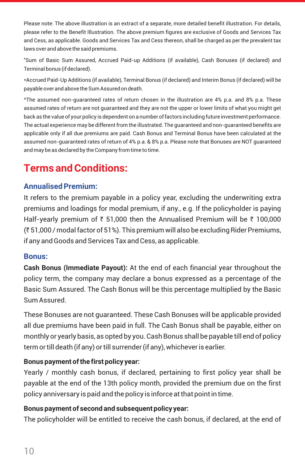Please note: The above illustration is an extract of a separate, more detailed benefit illustration. For details, please refer to the Benefit Illustration. The above premium figures are exclusive of Goods and Services Tax and Cess, as applicable. Goods and Services Tax and Cess thereon, shall be charged as per the prevalent tax laws over and above the said premiums.

# Sum of Basic Sum Assured, Accrued Paid-up Additions (if available), Cash Bonuses (if declared) and Terminal bonus (if declared).

\*Accrued Paid-Up Additions (if available), Terminal Bonus (if declared) and Interim Bonus (if declared) will be payable over and above the Sum Assured on death.

^The assumed non-guaranteed rates of return chosen in the illustration are 4% p.a. and 8% p.a. These assumed rates of return are not guaranteed and they are not the upper or lower limits of what you might get back as the value of your policy is dependent on a number of factors including future investment performance. The actual experience may be different from the illustrated. The guaranteed and non-guaranteed benefits are applicable only if all due premiums are paid. Cash Bonus and Terminal Bonus have been calculated at the assumed non-guaranteed rates of return of 4% p.a. & 8% p.a. Please note that Bonuses are NOT guaranteed and may be as declared by the Company from time to time.

# **Terms and Conditions:**

#### **Annualised Premium:**

It refers to the premium payable in a policy year, excluding the underwriting extra premiums and loadings for modal premium, if any., e.g. If the policyholder is paying Half-yearly premium of  $\bar{\tau}$  51,000 then the Annualised Premium will be  $\bar{\tau}$  100,000 (` 51,000 / modal factor of 51%). This premium will also be excluding Rider Premiums, if any and Goods and Services Tax and Cess, as applicable.

#### **Bonus:**

**Cash Bonus (Immediate Payout):** At the end of each financial year throughout the policy term, the company may declare a bonus expressed as a percentage of the Basic Sum Assured. The Cash Bonus will be this percentage multiplied by the Basic Sum Assured.

These Bonuses are not guaranteed. These Cash Bonuses will be applicable provided all due premiums have been paid in full. The Cash Bonus shall be payable, either on monthly or yearly basis, as opted by you. Cash Bonus shall be payable till end of policy term or till death (if any) or till surrender (if any), whichever is earlier.

#### **Bonus payment of the first policy year:**

Yearly / monthly cash bonus, if declared, pertaining to first policy year shall be payable at the end of the 13th policy month, provided the premium due on the first policy anniversary is paid and the policy is inforce at that point in time.

#### **Bonus payment of second and subsequent policy year:**

The policyholder will be entitled to receive the cash bonus, if declared, at the end of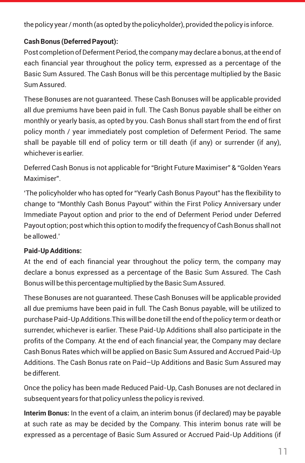the policy year / month (as opted by the policyholder), provided the policy is inforce.

#### **Cash Bonus (Deferred Payout):**

Post completion of Deferment Period, the company may declare a bonus, at the end of each financial year throughout the policy term, expressed as a percentage of the Basic Sum Assured. The Cash Bonus will be this percentage multiplied by the Basic Sum Assured.

These Bonuses are not guaranteed. These Cash Bonuses will be applicable provided all due premiums have been paid in full. The Cash Bonus payable shall be either on monthly or yearly basis, as opted by you. Cash Bonus shall start from the end of first policy month / year immediately post completion of Deferment Period. The same shall be payable till end of policy term or till death (if any) or surrender (if any), whichever is earlier.

Deferred Cash Bonus is not applicable for "Bright Future Maximiser" & "Golden Years Maximiser".

'The policyholder who has opted for "Yearly Cash Bonus Payout" has the flexibility to change to "Monthly Cash Bonus Payout" within the First Policy Anniversary under Immediate Payout option and prior to the end of Deferment Period under Deferred Payout option; post which this option to modify the frequency of Cash Bonus shall not be allowed.'

#### **Paid-Up Additions:**

At the end of each financial year throughout the policy term, the company may declare a bonus expressed as a percentage of the Basic Sum Assured. The Cash Bonus will be this percentage multiplied by the Basic Sum Assured.

These Bonuses are not guaranteed. These Cash Bonuses will be applicable provided all due premiums have been paid in full. The Cash Bonus payable, will be utilized to purchase Paid-Up Additions.This will be done till the end of the policy term or death or surrender, whichever is earlier. These Paid-Up Additions shall also participate in the profits of the Company. At the end of each financial year, the Company may declare Cash Bonus Rates which will be applied on Basic Sum Assured and Accrued Paid-Up Additions. The Cash Bonus rate on Paid–Up Additions and Basic Sum Assured may be different.

Once the policy has been made Reduced Paid-Up, Cash Bonuses are not declared in subsequent years for that policy unless the policy is revived.

**Interim Bonus:** In the event of a claim, an interim bonus (if declared) may be payable at such rate as may be decided by the Company. This interim bonus rate will be expressed as a percentage of Basic Sum Assured or Accrued Paid-Up Additions (if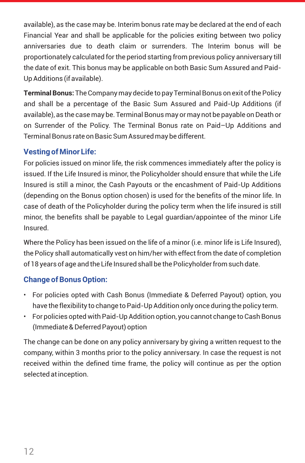available), as the case may be. Interim bonus rate may be declared at the end of each Financial Year and shall be applicable for the policies exiting between two policy anniversaries due to death claim or surrenders. The Interim bonus will be proportionately calculated for the period starting from previous policy anniversary till the date of exit. This bonus may be applicable on both Basic Sum Assured and Paid-Up Additions (if available).

**Terminal Bonus:**The Company may decide to pay Terminal Bonus on exit of the Policy and shall be a percentage of the Basic Sum Assured and Paid-Up Additions (if available), as the case may be. Terminal Bonus may or may not be payable on Death or on Surrender of the Policy. The Terminal Bonus rate on Paid–Up Additions and Terminal Bonus rate on Basic Sum Assured may be different.

## **Vesting of Minor Life:**

For policies issued on minor life, the risk commences immediately after the policy is issued. If the Life Insured is minor, the Policyholder should ensure that while the Life Insured is still a minor, the Cash Payouts or the encashment of Paid-Up Additions (depending on the Bonus option chosen) is used for the benefits of the minor life. In case of death of the Policyholder during the policy term when the life insured is still minor, the benefits shall be payable to Legal guardian/appointee of the minor Life Insured.

Where the Policy has been issued on the life of a minor (i.e. minor life is Life Insured), the Policy shall automatically vest on him/her with effect from the date of completion of 18 years of age and the Life Insured shall be the Policyholder from such date.

#### **Change of Bonus Option:**

- For policies opted with Cash Bonus (Immediate & Deferred Payout) option, you have the flexibility to change to Paid-Up Addition only once during the policy term.
- For policies opted with Paid-Up Addition option, you cannot change to Cash Bonus (Immediate & Deferred Payout) option

The change can be done on any policy anniversary by giving a written request to the company, within 3 months prior to the policy anniversary. In case the request is not received within the defined time frame, the policy will continue as per the option selected at inception.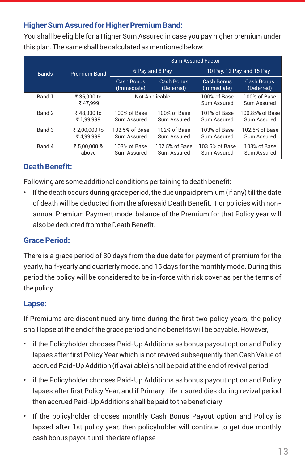## **Higher Sum Assured for Higher Premium Band:**

You shall be eligible for a Higher Sum Assured in case you pay higher premium under this plan. The same shall be calculated as mentioned below:

|              |                            | <b>Sum Assured Factor</b>        |                                 |                               |                                |  |  |
|--------------|----------------------------|----------------------------------|---------------------------------|-------------------------------|--------------------------------|--|--|
| <b>Bands</b> | <b>Premium Band</b>        |                                  | 6 Pay and 8 Pay                 | 10 Pay, 12 Pay and 15 Pay     |                                |  |  |
|              |                            | <b>Cash Bonus</b><br>(Immediate) | <b>Cash Bonus</b><br>(Deferred) | Cash Bonus<br>(Immediate)     | Cash Bonus<br>(Deferred)       |  |  |
| Band 1       | ₹ 36.000 to<br>₹47.999     | Not Applicable                   |                                 | 100% of Base<br>Sum Assured   | 100% of Base<br>Sum Assured    |  |  |
| Band 2       | ₹48,000 to<br>₹ 1,99,999   | 100% of Base<br>Sum Assured      | 100% of Base<br>Sum Assured     | 101% of Base<br>Sum Assured   | 100.85% of Base<br>Sum Assured |  |  |
| Band 3       | ₹ 2.00.000 to<br>₹4.99.999 | 102.5% of Base<br>Sum Assured    | 102% of Base<br>Sum Assured     | 103% of Base<br>Sum Assured   | 102.5% of Base<br>Sum Assured  |  |  |
| Band 4       | ₹ 5.00.000 &<br>above      | 103% of Base<br>Sum Assured      | 102.5% of Base<br>Sum Assured   | 103.5% of Base<br>Sum Assured | 103% of Base<br>Sum Assured    |  |  |

## **Death Benefit:**

Following are some additional conditions pertaining to death benefit:

• If the death occurs during grace period, the due unpaid premium (if any) till the date of death will be deducted from the aforesaid Death Benefit. For policies with nonannual Premium Payment mode, balance of the Premium for that Policy year will also be deducted from the Death Benefit.

## **Grace Period:**

There is a grace period of 30 days from the due date for payment of premium for the yearly, half-yearly and quarterly mode, and 15 days for the monthly mode. During this period the policy will be considered to be in-force with risk cover as per the terms of the policy.

#### **Lapse:**

If Premiums are discontinued any time during the first two policy years, the policy shall lapse at the end of the grace period and no benefits will be payable. However,

- if the Policyholder chooses Paid-Up Additions as bonus payout option and Policy lapses after first Policy Year which is not revived subsequently then Cash Value of accrued Paid-Up Addition (if available) shall be paid at the end of revival period
- if the Policyholder chooses Paid-Up Additions as bonus payout option and Policy lapses after first Policy Year, and if Primary Life Insured dies during revival period then accrued Paid-Up Additions shall be paid to the beneficiary
- If the policyholder chooses monthly Cash Bonus Payout option and Policy is lapsed after 1st policy year, then policyholder will continue to get due monthly cash bonus payout until the date of lapse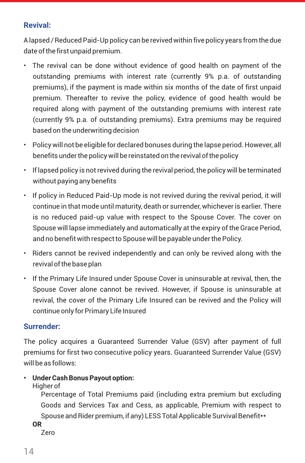#### **Revival:**

A lapsed / Reduced Paid-Up policy can be revived within five policy years from the due date of the first unpaid premium.

- The revival can be done without evidence of good health on payment of the outstanding premiums with interest rate (currently 9% p.a. of outstanding premiums), if the payment is made within six months of the date of first unpaid premium. Thereafter to revive the policy, evidence of good health would be required along with payment of the outstanding premiums with interest rate (currently 9% p.a. of outstanding premiums). Extra premiums may be required based on the underwriting decision
- Policy will not be eligible for declared bonuses during the lapse period. However, all benefits under the policy will be reinstated on the revival of the policy
- If lapsed policy is not revived during the revival period, the policy will be terminated without paying any benefits
- If policy in Reduced Paid-Up mode is not revived during the revival period, it will continue in that mode until maturity, death or surrender, whichever is earlier. There is no reduced paid-up value with respect to the Spouse Cover. The cover on Spouse will lapse immediately and automatically at the expiry of the Grace Period, and no benefit with respect to Spouse will be payable under the Policy.
- Riders cannot be revived independently and can only be revived along with the revival of the base plan
- If the Primary Life Insured under Spouse Cover is uninsurable at revival, then, the Spouse Cover alone cannot be revived. However, if Spouse is uninsurable at revival, the cover of the Primary Life Insured can be revived and the Policy will continue only for Primary Life Insured

#### **Surrender:**

The policy acquires a Guaranteed Surrender Value (GSV) after payment of full premiums for first two consecutive policy years. Guaranteed Surrender Value (GSV) will be as follows:

- **• Under Cash Bonus Payout option:** 
	- Higher of

Percentage of Total Premiums paid (including extra premium but excluding Goods and Services Tax and Cess, as applicable, Premium with respect to Spouse and Rider premium, if any) LESS Total Applicable Survival Benefit\*\*

**OR**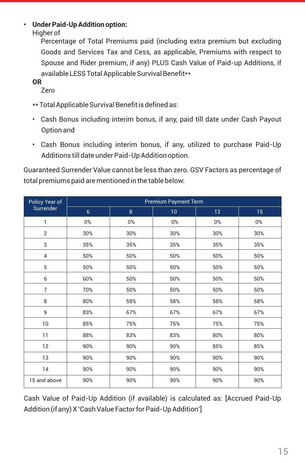#### **• Under Paid-Up Addition option:**

Higher of

Percentage of Total Premiums paid (including extra premium but excluding Goods and Services Tax and Cess, as applicable, Premiums with respect to Spouse and Rider premium, if any) PLUS Cash Value of Paid-up Additions, if available LESS Total Applicable Survival Benefit\*\*

**OR** 

Zero

- \*\* Total Applicable Survival Benefit is defined as:
- Cash Bonus including interim bonus, if any, paid till date under Cash Payout Option and
- Cash Bonus including interim bonus, if any, utilized to purchase Paid-Up Additions till date under Paid-Up Addition option.

Guaranteed Surrender Value cannot be less than zero. GSV Factors as percentage of total premiums paid are mentioned in the table below:

| Policy Year of | <b>Premium Payment Term</b> |       |     |                 |       |  |  |
|----------------|-----------------------------|-------|-----|-----------------|-------|--|--|
| Surrender      | $6\overline{6}$             | 8     | 10  | 12 <sub>2</sub> | 15    |  |  |
| 1              | $0\%$                       | $0\%$ | 0%  | 0%              | $0\%$ |  |  |
| $\overline{2}$ | 30%                         | 30%   | 30% | 30%             | 30%   |  |  |
| 3              | 35%                         | 35%   | 35% | 35%             | 35%   |  |  |
| 4              | 50%                         | 50%   | 50% | 50%             | 50%   |  |  |
| 5              | 50%                         | 50%   | 50% | 50%             | 50%   |  |  |
| 6              | 60%                         | 50%   | 50% | 50%             | 50%   |  |  |
| $\overline{7}$ | 70%                         | 50%   | 50% | 50%             | 50%   |  |  |
| 8              | 80%                         | 58%   | 58% | 58%             | 58%   |  |  |
| 9              | 83%                         | 67%   | 67% | 67%             | 67%   |  |  |
| 10             | 85%                         | 75%   | 75% | 75%             | 75%   |  |  |
| 11             | 88%                         | 83%   | 83% | 80%             | 80%   |  |  |
| 12             | 90%                         | 90%   | 90% | 85%             | 85%   |  |  |
| 13             | 90%                         | 90%   | 90% | 90%             | 90%   |  |  |
| 14             | 90%                         | 90%   | 90% | 90%             | 90%   |  |  |
| 15 and above   | 90%                         | 90%   | 90% | 90%             | 90%   |  |  |

Cash Value of Paid-Up Addition (if available) is calculated as: [Accrued Paid-Up Addition (if any) X 'Cash Value Factor for Paid-Up Addition']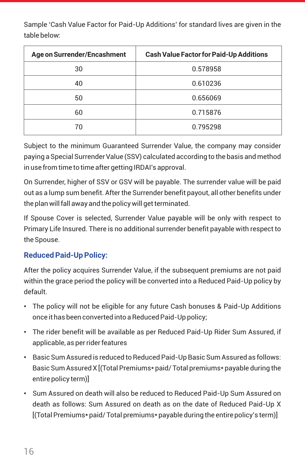Sample 'Cash Value Factor for Paid-Up Additions' for standard lives are given in the table below:

| Age on Surrender/Encashment | <b>Cash Value Factor for Paid-Up Additions</b> |
|-----------------------------|------------------------------------------------|
| 30                          | 0.578958                                       |
| 40                          | 0.610236                                       |
| 50                          | 0.656069                                       |
| 60                          | 0.715876                                       |
| 70                          | 0.795298                                       |

Subject to the minimum Guaranteed Surrender Value, the company may consider paying a Special Surrender Value (SSV) calculated according to the basis and method in use from time to time after getting IRDAI's approval.

On Surrender, higher of SSV or GSV will be payable. The surrender value will be paid out as a lump sum benefit. After the Surrender benefit payout, all other benefits under the plan will fall away and the policy will get terminated.

If Spouse Cover is selected, Surrender Value payable will be only with respect to Primary Life Insured. There is no additional surrender benefit payable with respect to the Spouse.

## **Reduced Paid-Up Policy:**

After the policy acquires Surrender Value, if the subsequent premiums are not paid within the grace period the policy will be converted into a Reduced Paid-Up policy by default.

- The policy will not be eligible for any future Cash bonuses & Paid-Up Additions once it has been converted into a Reduced Paid-Up policy;
- The rider benefit will be available as per Reduced Paid-Up Rider Sum Assured, if applicable, as per rider features
- Basic Sum Assured is reduced to Reduced Paid-Up Basic Sum Assured as follows: Basic Sum Assured X [(Total Premiums\* paid/ Total premiums\* payable during the entire policy term)]
- Sum Assured on death will also be reduced to Reduced Paid-Up Sum Assured on death as follows: Sum Assured on death as on the date of Reduced Paid-Up X [(Total Premiums\* paid/ Total premiums\* payable during the entire policy's term)]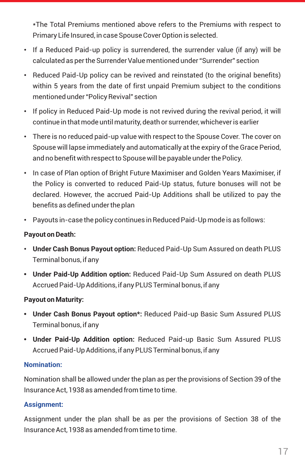\*The Total Premiums mentioned above refers to the Premiums with respect to Primary Life Insured, in case Spouse Cover Option is selected.

- If a Reduced Paid-up policy is surrendered, the surrender value (if any) will be calculated as per the Surrender Value mentioned under "Surrender" section
- Reduced Paid-Up policy can be revived and reinstated (to the original benefits) within 5 years from the date of first unpaid Premium subject to the conditions mentioned under "Policy Revival" section
- If policy in Reduced Paid-Up mode is not revived during the revival period, it will continue in that mode until maturity, death or surrender, whichever is earlier
- There is no reduced paid-up value with respect to the Spouse Cover. The cover on Spouse will lapse immediately and automatically at the expiry of the Grace Period, and no benefit with respect to Spouse will be payable under the Policy.
- In case of Plan option of Bright Future Maximiser and Golden Years Maximiser, if the Policy is converted to reduced Paid-Up status, future bonuses will not be declared. However, the accrued Paid-Up Additions shall be utilized to pay the benefits as defined under the plan
- Payouts in-case the policy continues in Reduced Paid-Up mode is as follows:

#### **Payout on Death:**

- **Under Cash Bonus Payout option:** Reduced Paid-Up Sum Assured on death PLUS Terminal bonus, if any
- **• Under Paid-Up Addition option:** Reduced Paid-Up Sum Assured on death PLUS Accrued Paid-Up Additions, if any PLUS Terminal bonus, if any

#### **Payout on Maturity:**

- **• Under Cash Bonus Payout option\*:** Reduced Paid-up Basic Sum Assured PLUS Terminal bonus, if any
- **• Under Paid-Up Addition option:** Reduced Paid-up Basic Sum Assured PLUS Accrued Paid-Up Additions, if any PLUS Terminal bonus, if any

#### **Nomination:**

Nomination shall be allowed under the plan as per the provisions of Section 39 of the Insurance Act, 1938 as amended from time to time.

#### **Assignment:**

Assignment under the plan shall be as per the provisions of Section 38 of the Insurance Act, 1938 as amended from time to time.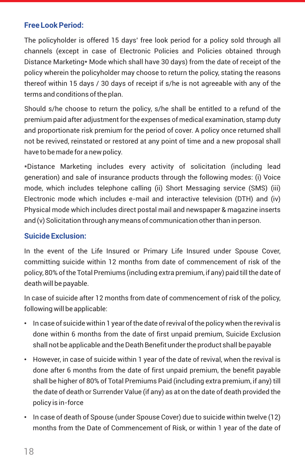#### **Free Look Period:**

The policyholder is offered 15 days' free look period for a policy sold through all channels (except in case of Electronic Policies and Policies obtained through Distance Marketing\* Mode which shall have 30 days) from the date of receipt of the policy wherein the policyholder may choose to return the policy, stating the reasons thereof within 15 days / 30 days of receipt if s/he is not agreeable with any of the terms and conditions of the plan.

Should s/he choose to return the policy, s/he shall be entitled to a refund of the premium paid after adjustment for the expenses of medical examination, stamp duty and proportionate risk premium for the period of cover. A policy once returned shall not be revived, reinstated or restored at any point of time and a new proposal shall have to be made for a new policy.

\*Distance Marketing includes every activity of solicitation (including lead generation) and sale of insurance products through the following modes: (i) Voice mode, which includes telephone calling (ii) Short Messaging service (SMS) (iii) Electronic mode which includes e-mail and interactive television (DTH) and (iv) Physical mode which includes direct postal mail and newspaper & magazine inserts and (v) Solicitation through any means of communication other than in person.

#### **Suicide Exclusion:**

In the event of the Life Insured or Primary Life Insured under Spouse Cover, committing suicide within 12 months from date of commencement of risk of the policy, 80% of the Total Premiums (including extra premium, if any) paid till the date of death will be payable.

In case of suicide after 12 months from date of commencement of risk of the policy, following will be applicable:

- In case of suicide within 1 year of the date of revival of the policy when the revival is done within 6 months from the date of first unpaid premium, Suicide Exclusion shall not be applicable and the Death Benefit under the product shall be payable
- However, in case of suicide within 1 year of the date of revival, when the revival is done after 6 months from the date of first unpaid premium, the benefit payable shall be higher of 80% of Total Premiums Paid (including extra premium, if any) till the date of death or Surrender Value (if any) as at on the date of death provided the policy is in-force
- In case of death of Spouse (under Spouse Cover) due to suicide within twelve (12) months from the Date of Commencement of Risk, or within 1 year of the date of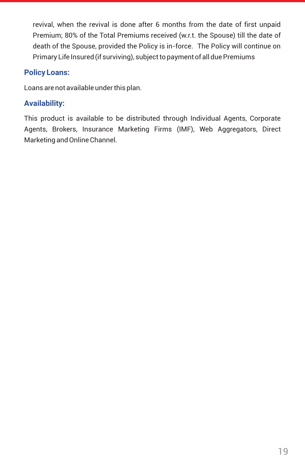revival, when the revival is done after 6 months from the date of first unpaid Premium; 80% of the Total Premiums received (w.r.t. the Spouse) till the date of death of the Spouse, provided the Policy is in-force. The Policy will continue on Primary Life Insured (if surviving), subject to payment of all due Premiums

#### **Policy Loans:**

Loans are not available under this plan.

#### **Availability:**

This product is available to be distributed through Individual Agents, Corporate Agents, Brokers, Insurance Marketing Firms (IMF), Web Aggregators, Direct Marketing and Online Channel.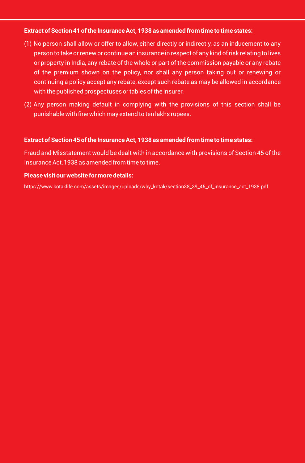#### **Extract of Section 41 of the Insurance Act, 1938 as amended from time to time states:**

- (1) No person shall allow or offer to allow, either directly or indirectly, as an inducement to any person to take or renew or continue an insurance in respect of any kind of risk relating to lives or property in India, any rebate of the whole or part of the commission payable or any rebate of the premium shown on the policy, nor shall any person taking out or renewing or continuing a policy accept any rebate, except such rebate as may be allowed in accordance with the published prospectuses or tables of the insurer.
- (2) Any person making default in complying with the provisions of this section shall be punishable with fine which may extend to ten lakhs rupees.

#### **Extract of Section 45 of the Insurance Act, 1938 as amended from time to time states:**

Fraud and Misstatement would be dealt with in accordance with provisions of Section 45 of the Insurance Act, 1938 as amended from time to time.

#### **Please visit our website for more details:**

https://www.kotaklife.com/assets/images/uploads/why\_kotak/section38\_39\_45\_of\_insurance\_act\_1938.pdf